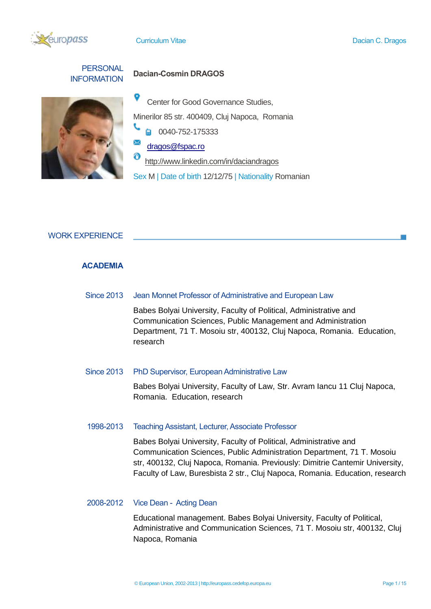

**PERSONAL** 

# INFORMATION **Dacian-Cosmin DRAGOS**



9 Center for Good Governance Studies,

Minerilor 85 str. 400409, Cluj Napoca, Romania

 $\Box$  0040-752-175333

[dragos@fspac.ro](mailto:dragos@fspac.ro)

http://www.linkedin.com/in/daciandragos

Sex M | Date of birth 12/12/75 | Nationality Romanian

### WORK EXPERIENCE

### **ACADEMIA**

Since 2013 Jean Monnet Professor of Administrative and European Law

Babes Bolyai University, Faculty of Political, Administrative and Communication Sciences, Public Management and Administration Department, 71 T. Mosoiu str, 400132, Cluj Napoca, Romania. Education, research

#### Since 2013 PhD Supervisor, European Administrative Law

Babes Bolyai University, Faculty of Law, Str. Avram Iancu 11 Cluj Napoca, Romania. Education, research

### 1998-2013 Teaching Assistant, Lecturer, Associate Professor

Babes Bolyai University, Faculty of Political, Administrative and Communication Sciences, Public Administration Department, 71 T. Mosoiu str, 400132, Cluj Napoca, Romania. Previously: Dimitrie Cantemir University, Faculty of Law, Buresbista 2 str., Cluj Napoca, Romania. Education, research

### 2008-2012 Vice Dean - Acting Dean

Educational management. Babes Bolyai University, Faculty of Political, Administrative and Communication Sciences, 71 T. Mosoiu str, 400132, Cluj Napoca, Romania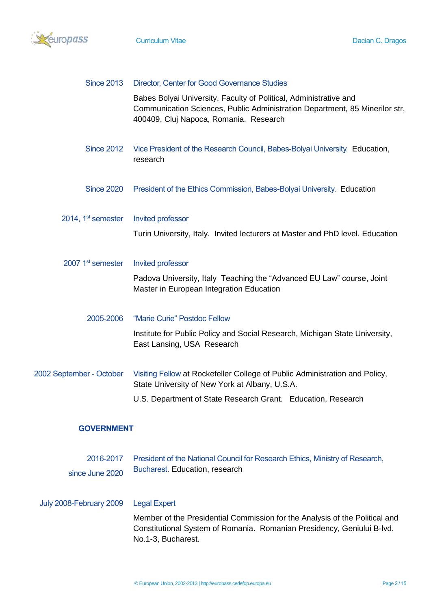

| <b>Since 2013</b>              | <b>Director, Center for Good Governance Studies</b>                                                                                                                                        |  |  |
|--------------------------------|--------------------------------------------------------------------------------------------------------------------------------------------------------------------------------------------|--|--|
|                                | Babes Bolyai University, Faculty of Political, Administrative and<br>Communication Sciences, Public Administration Department, 85 Minerilor str,<br>400409, Cluj Napoca, Romania. Research |  |  |
| <b>Since 2012</b>              | Vice President of the Research Council, Babes-Bolyai University. Education,<br>research                                                                                                    |  |  |
| <b>Since 2020</b>              | President of the Ethics Commission, Babes-Bolyai University. Education                                                                                                                     |  |  |
| 2014, 1 <sup>st</sup> semester | Invited professor                                                                                                                                                                          |  |  |
|                                | Turin University, Italy. Invited lecturers at Master and PhD level. Education                                                                                                              |  |  |
| 2007 1 <sup>st</sup> semester  | <b>Invited professor</b>                                                                                                                                                                   |  |  |
|                                | Padova University, Italy Teaching the "Advanced EU Law" course, Joint<br>Master in European Integration Education                                                                          |  |  |
| 2005-2006                      | "Marie Curie" Postdoc Fellow                                                                                                                                                               |  |  |
|                                | Institute for Public Policy and Social Research, Michigan State University,<br>East Lansing, USA Research                                                                                  |  |  |
| 2002 September - October       | Visiting Fellow at Rockefeller College of Public Administration and Policy,<br>State University of New York at Albany, U.S.A.                                                              |  |  |
|                                | U.S. Department of State Research Grant. Education, Research                                                                                                                               |  |  |
| <b>GOVERNMENT</b>              |                                                                                                                                                                                            |  |  |
| 2016-2017                      | President of the National Council for Research Ethics, Ministry of Research,                                                                                                               |  |  |
| since June 2020                | Bucharest. Education, research                                                                                                                                                             |  |  |
|                                |                                                                                                                                                                                            |  |  |
| July 2008-February 2009        | <b>Legal Expert</b>                                                                                                                                                                        |  |  |
|                                | Member of the Presidential Commission for the Analysis of the Political and<br>Constitutional System of Romania. Romanian Presidency, Geniului B-lvd.<br>No.1-3, Bucharest.                |  |  |
|                                |                                                                                                                                                                                            |  |  |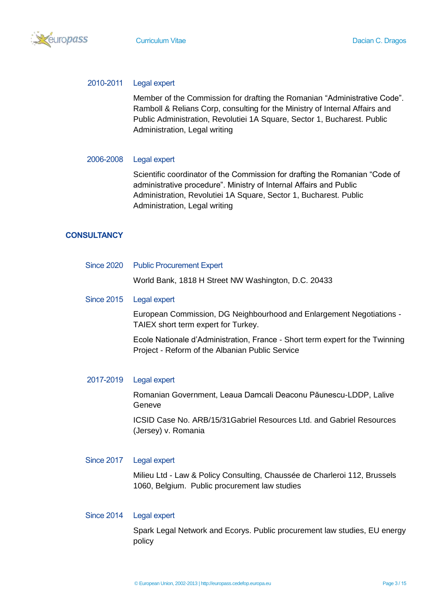

#### 2010-2011 Legal expert

Member of the Commission for drafting the Romanian "Administrative Code". Ramboll & Relians Corp, consulting for the Ministry of Internal Affairs and Public Administration, Revolutiei 1A Square, Sector 1, Bucharest. Public Administration, Legal writing

#### 2006-2008 Legal expert

Scientific coordinator of the Commission for drafting the Romanian "Code of administrative procedure". Ministry of Internal Affairs and Public Administration, Revolutiei 1A Square, Sector 1, Bucharest. Public Administration, Legal writing

### **CONSULTANCY**

| Since 2020 Public Procurement Expert                                                                        |  |  |
|-------------------------------------------------------------------------------------------------------------|--|--|
| World Bank, 1818 H Street NW Washington, D.C. 20433                                                         |  |  |
| Since 2015 Legal expert                                                                                     |  |  |
| European Commission, DG Neighbourhood and Enlargement Negotiations -<br>TAIEX short term expert for Turkey. |  |  |

Ecole Nationale d'Administration, France - Short term expert for the Twinning Project - Reform of the Albanian Public Service

#### 2017-2019 Legal expert

Romanian Government, Leaua Damcali Deaconu Păunescu-LDDP, Lalive Geneve

ICSID Case No. ARB/15/31Gabriel Resources Ltd. and Gabriel Resources (Jersey) v. Romania

### Since 2017 Legal expert

Milieu Ltd - Law & Policy Consulting, Chaussée de Charleroi 112, Brussels 1060, Belgium. Public procurement law studies

#### Since 2014 Legal expert

Spark Legal Network and Ecorys. Public procurement law studies, EU energy policy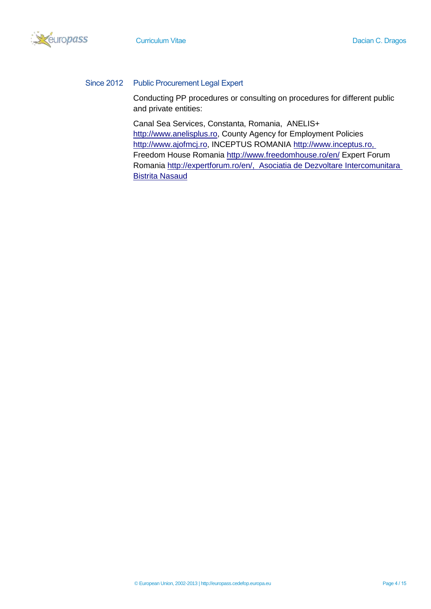Reuropass



### Since 2012 Public Procurement Legal Expert

Conducting PP procedures or consulting on procedures for different public and private entities:

Canal Sea Services, Constanta, Romania, ANELIS+ [http://www.anelisplus.ro,](http://www.anelisplus.ro/) County Agency for Employment Policies [http://www.ajofmcj.ro,](http://www.ajofmcj.ro/) INCEPTUS ROMANIA [http://www.inceptus.ro,](http://www.inceptus.ro/) Freedom House Romania<http://www.freedomhouse.ro/en/> Expert Forum Romania [http://expertforum.ro/en/,](http://expertforum.ro/en/) Asociatia de Dezvoltare Intercomunitara Bistrita Nasaud

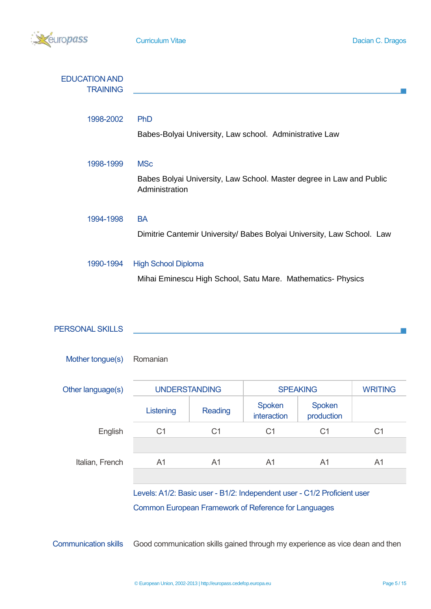

| <b>EDUCATION AND</b><br><b>TRAINING</b> |                                                                                        |
|-----------------------------------------|----------------------------------------------------------------------------------------|
|                                         |                                                                                        |
| 1998-2002                               | <b>PhD</b>                                                                             |
|                                         | Babes-Bolyai University, Law school. Administrative Law                                |
|                                         |                                                                                        |
| 1998-1999                               | <b>MSc</b>                                                                             |
|                                         | Babes Bolyai University, Law School. Master degree in Law and Public<br>Administration |
| 1994-1998                               | <b>BA</b>                                                                              |
|                                         | Dimitrie Cantemir University/ Babes Bolyai University, Law School. Law                 |
|                                         |                                                                                        |
| 1990-1994                               | <b>High School Diploma</b>                                                             |
|                                         | Mihai Eminescu High School, Satu Mare. Mathematics- Physics                            |

| <b>PERSONAL SKILLS</b> |                      |                |                       |                      |                |
|------------------------|----------------------|----------------|-----------------------|----------------------|----------------|
| Mother tongue(s)       | Romanian             |                |                       |                      |                |
| Other language(s)      | <b>UNDERSTANDING</b> |                | <b>SPEAKING</b>       |                      | <b>WRITING</b> |
|                        | Listening            | Reading        | Spoken<br>interaction | Spoken<br>production |                |
| English                | C <sub>1</sub>       | C <sub>1</sub> | C <sub>1</sub>        | C <sub>1</sub>       | C <sub>1</sub> |
| Italian, French        | A1                   | A1             | A1                    | A <sub>1</sub>       | A <sub>1</sub> |

Levels: A1/2: Basic user - B1/2: Independent user - C1/2 Proficient user Common European Framework of Reference for Languages

Communication skills Good communication skills gained through my experience as vice dean and then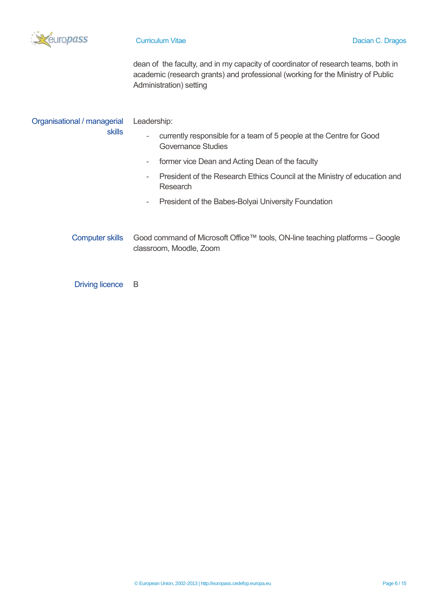

dean of the faculty, and in my capacity of coordinator of research teams, both in academic (research grants) and professional (working for the Ministry of Public Administration) setting

| Organisational / managerial | Leadership:                                                                                                                  |  |  |  |
|-----------------------------|------------------------------------------------------------------------------------------------------------------------------|--|--|--|
| <b>skills</b>               | currently responsible for a team of 5 people at the Centre for Good<br>$\overline{\phantom{0}}$<br><b>Governance Studies</b> |  |  |  |
|                             | former vice Dean and Acting Dean of the faculty<br>۰.                                                                        |  |  |  |
|                             | President of the Research Ethics Council at the Ministry of education and<br>-<br>Research                                   |  |  |  |
|                             | President of the Babes-Bolyai University Foundation<br>۰                                                                     |  |  |  |
| <b>Computer skills</b>      | Good command of Microsoft Office™ tools, ON-line teaching platforms – Google<br>classroom, Moodle, Zoom                      |  |  |  |

Driving licence B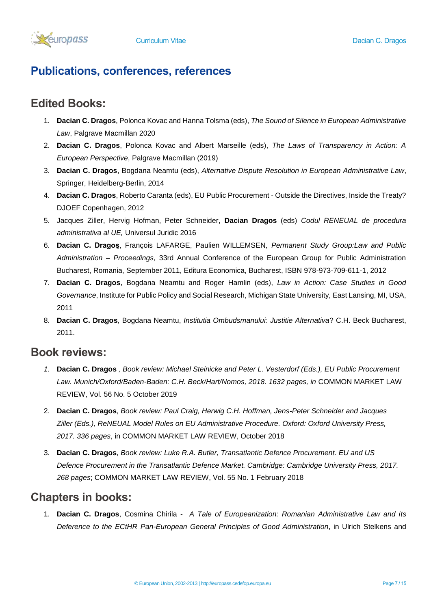

# **Publications, conferences, references**

### **Edited Books:**

- 1. **Dacian C. Dragos**, Polonca Kovac and Hanna Tolsma (eds), *The Sound of Silence in European Administrative Law*, Palgrave Macmillan 2020
- 2. **Dacian C. Dragos**, Polonca Kovac and Albert Marseille (eds), *The Laws of Transparency in Action: A European Perspective*, Palgrave Macmillan (2019)
- 3. **Dacian C. Dragos**, Bogdana Neamtu (eds), *Alternative Dispute Resolution in European Administrative Law*, Springer, Heidelberg-Berlin, 2014
- 4. **Dacian C. Dragos**, Roberto Caranta (eds), EU Public Procurement Outside the Directives, Inside the Treaty? DJOEF Copenhagen, 2012
- 5. Jacques Ziller, Hervig Hofman, Peter Schneider, **Dacian Dragos** (eds) *Codul RENEUAL de procedura administrativa al UE,* Universul Juridic 2016
- 6. **Dacian C. Dragoş**, François LAFARGE, Paulien WILLEMSEN, *Permanent Study Group:Law and Public Administration – Proceedings,* 33rd Annual Conference of the European Group for Public Administration Bucharest, Romania, September 2011, Editura Economica, Bucharest, ISBN 978-973-709-611-1, 2012
- 7. **Dacian C. Dragos**, Bogdana Neamtu and Roger Hamlin (eds), *Law in Action: Case Studies in Good Governance*, Institute for Public Policy and Social Research, Michigan State University, East Lansing, MI, USA, 2011
- 8. **Dacian C. Dragos**, Bogdana Neamtu, *Institutia Ombudsmanului: Justitie Alternativa*? C.H. Beck Bucharest, 2011.

### **Book reviews:**

- *1.* **Dacian C. Dragos** *, Book review: Michael Steinicke and Peter L. Vesterdorf (Eds.), EU Public Procurement*  Law. Munich/Oxford/Baden-Baden: C.H. Beck/Hart/Nomos, 2018. 1632 pages, in COMMON MARKET LAW REVIEW, Vol. 56 No. 5 October 2019
- 2. **Dacian C. Dragos**, *Book review: Paul Craig, Herwig C.H. Hoffman, Jens-Peter Schneider and Jacques Ziller (Eds.), ReNEUAL Model Rules on EU Administrative Procedure. Oxford: Oxford University Press, 2017. 336 pages*, in COMMON MARKET LAW REVIEW, October 2018
- 3. **Dacian C. Dragos**, *Book review: Luke R.A. Butler, Transatlantic Defence Procurement. EU and US Defence Procurement in the Transatlantic Defence Market. Cambridge: Cambridge University Press, 2017. 268 pages*; COMMON MARKET LAW REVIEW, Vol. 55 No. 1 February 2018

## **Chapters in books:**

1. **Dacian C. Dragos**, Cosmina Chirila *- A Tale of Europeanization: Romanian Administrative Law and its Deference to the ECtHR Pan-European General Principles of Good Administration*, in Ulrich Stelkens and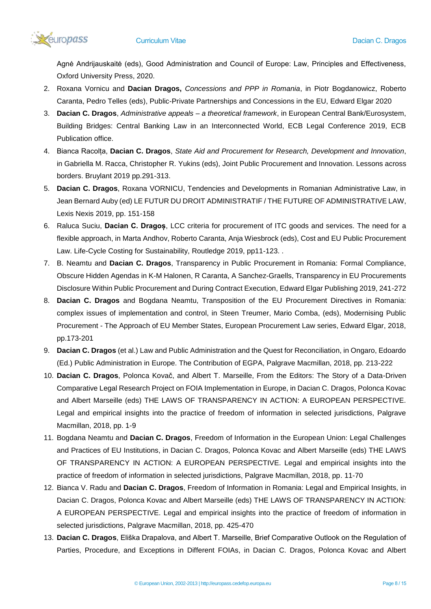

Agnė Andrijauskaitė (eds), Good Administration and Council of Europe: Law, Principles and Effectiveness, Oxford University Press, 2020.

- 2. Roxana Vornicu and **Dacian Dragos,** *Concessions and PPP in Romania*, in Piotr Bogdanowicz, Roberto Caranta, Pedro Telles (eds), Public-Private Partnerships and Concessions in the EU, Edward Elgar 2020
- 3. **Dacian C. Dragos**, *Administrative appeals – a theoretical framework*, in European Central Bank/Eurosystem, Building Bridges: Central Banking Law in an Interconnected World, ECB Legal Conference 2019, ECB Publication office.
- 4. Bianca Racolța, **Dacian C. Dragos**, *State Aid and Procurement for Research, Development and Innovation*, in Gabriella M. Racca, Christopher R. Yukins (eds), Joint Public Procurement and Innovation. Lessons across borders. Bruylant 2019 pp.291-313.
- 5. **Dacian C. Dragos**, Roxana VORNICU, Tendencies and Developments in Romanian Administrative Law, in Jean Bernard Auby (ed) LE FUTUR DU DROIT ADMINISTRATIF / THE FUTURE OF ADMINISTRATIVE LAW, Lexis Nexis 2019, pp. 151-158
- 6. Raluca Suciu, **Dacian C. Dragoș**, LCC criteria for procurement of ITC goods and services. The need for a flexible approach, in Marta Andhov, Roberto Caranta, Anja Wiesbrock (eds), Cost and EU Public Procurement Law. Life-Cycle Costing for Sustainability, Routledge 2019, pp11-123. .
- 7. B. Neamtu and **Dacian C. Dragos**, Transparency in Public Procurement in Romania: Formal Compliance, Obscure Hidden Agendas in K-M Halonen, R Caranta, A Sanchez-Graells, Transparency in EU Procurements Disclosure Within Public Procurement and During Contract Execution, Edward Elgar Publishing 2019, 241-272
- 8. **Dacian C. Dragos** and Bogdana Neamtu, Transposition of the EU Procurement Directives in Romania: complex issues of implementation and control, in Steen Treumer, Mario Comba, (eds), Modernising Public Procurement - The Approach of EU Member States, European Procurement Law series, Edward Elgar, 2018, pp.173-201
- 9. **Dacian C. Dragos** (et al.) Law and Public Administration and the Quest for Reconciliation, in Ongaro, Edoardo (Ed.) Public Administration in Europe. The Contribution of EGPA, Palgrave Macmillan, 2018, pp. 213-222
- 10. **Dacian C. Dragos**, Polonca Kovač, and Albert T. Marseille, From the Editors: The Story of a Data-Driven Comparative Legal Research Project on FOIA Implementation in Europe, in Dacian C. Dragos, Polonca Kovac and Albert Marseille (eds) THE LAWS OF TRANSPARENCY IN ACTION: A EUROPEAN PERSPECTIVE. Legal and empirical insights into the practice of freedom of information in selected jurisdictions, Palgrave Macmillan, 2018, pp. 1-9
- 11. Bogdana Neamtu and **Dacian C. Dragos**, Freedom of Information in the European Union: Legal Challenges and Practices of EU Institutions, in Dacian C. Dragos, Polonca Kovac and Albert Marseille (eds) THE LAWS OF TRANSPARENCY IN ACTION: A EUROPEAN PERSPECTIVE. Legal and empirical insights into the practice of freedom of information in selected jurisdictions, Palgrave Macmillan, 2018, pp. 11-70
- 12. Bianca V. Radu and **Dacian C. Dragos**, Freedom of Information in Romania: Legal and Empirical Insights, in Dacian C. Dragos, Polonca Kovac and Albert Marseille (eds) THE LAWS OF TRANSPARENCY IN ACTION: A EUROPEAN PERSPECTIVE. Legal and empirical insights into the practice of freedom of information in selected jurisdictions, Palgrave Macmillan, 2018, pp. 425-470
- 13. **Dacian C. Dragos**, Eliška Drapalova, and Albert T. Marseille, Brief Comparative Outlook on the Regulation of Parties, Procedure, and Exceptions in Different FOIAs, in Dacian C. Dragos, Polonca Kovac and Albert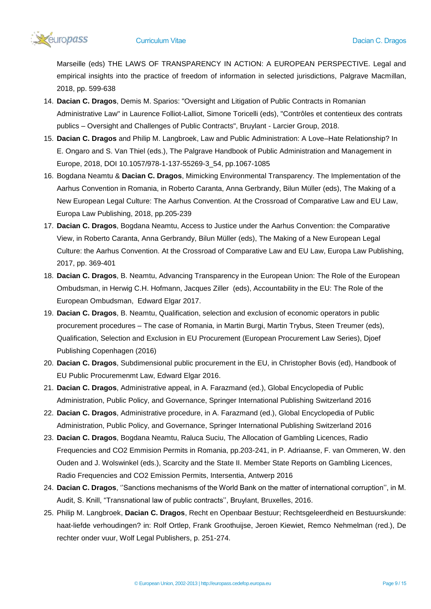

Marseille (eds) THE LAWS OF TRANSPARENCY IN ACTION: A EUROPEAN PERSPECTIVE. Legal and empirical insights into the practice of freedom of information in selected jurisdictions, Palgrave Macmillan, 2018, pp. 599-638

- 14. **Dacian C. Dragos**, Demis M. Sparios: "Oversight and Litigation of Public Contracts in Romanian Administrative Law" in Laurence Folliot-Lalliot, Simone Toricelli (eds), "Contrôles et contentieux des contrats publics – Oversight and Challenges of Public Contracts", Bruylant - Larcier Group, 2018.
- 15. **Dacian C. Dragos** and Philip M. Langbroek, Law and Public Administration: A Love–Hate Relationship? In E. Ongaro and S. Van Thiel (eds.), The Palgrave Handbook of Public Administration and Management in Europe, 2018, DOI 10.1057/978-1-137-55269-3\_54, pp.1067-1085
- 16. Bogdana Neamtu & **Dacian C. Dragos**, Mimicking Environmental Transparency. The Implementation of the Aarhus Convention in Romania, in Roberto Caranta, Anna Gerbrandy, Bilun Müller (eds), The Making of a New European Legal Culture: The Aarhus Convention. At the Crossroad of Comparative Law and EU Law, Europa Law Publishing, 2018, pp.205-239
- 17. **Dacian C. Dragos**, Bogdana Neamtu, Access to Justice under the Aarhus Convention: the Comparative View, in Roberto Caranta, Anna Gerbrandy, Bilun Müller (eds), The Making of a New European Legal Culture: the Aarhus Convention. At the Crossroad of Comparative Law and EU Law, Europa Law Publishing, 2017, pp. 369-401
- 18. **Dacian C. Dragos**, B. Neamtu, Advancing Transparency in the European Union: The Role of the European Ombudsman, in Herwig C.H. Hofmann, Jacques Ziller (eds), Accountability in the EU: The Role of the European Ombudsman, Edward Elgar 2017.
- 19. **Dacian C. Dragos**, B. Neamtu, Qualification, selection and exclusion of economic operators in public procurement procedures – The case of Romania, in Martin Burgi, Martin Trybus, Steen Treumer (eds), Qualification, Selection and Exclusion in EU Procurement (European Procurement Law Series), Djoef Publishing Copenhagen (2016)
- 20. **Dacian C. Dragos**, Subdimensional public procurement in the EU, in Christopher Bovis (ed), Handbook of EU Public Procuremenmt Law, Edward Elgar 2016.
- 21. **Dacian C. Dragos**, Administrative appeal, in A. Farazmand (ed.), Global Encyclopedia of Public Administration, Public Policy, and Governance, Springer International Publishing Switzerland 2016
- 22. **Dacian C. Dragos**, Administrative procedure, in A. Farazmand (ed.), Global Encyclopedia of Public Administration, Public Policy, and Governance, Springer International Publishing Switzerland 2016
- 23. **Dacian C. Dragos**, Bogdana Neamtu, Raluca Suciu, The Allocation of Gambling Licences, Radio Frequencies and CO2 Emmision Permits in Romania, pp.203-241, in P. Adriaanse, F. van Ommeren, W. den Ouden and J. Wolswinkel (eds.), Scarcity and the State II. Member State Reports on Gambling Licences, Radio Frequencies and CO2 Emission Permits, Intersentia, Antwerp 2016
- 24. **Dacian C. Dragos**, ''Sanctions mechanisms of the World Bank on the matter of international corruption'', in M. Audit, S. Knill, "Transnational law of public contracts'', Bruylant, Bruxelles, 2016.
- 25. Philip M. Langbroek, **Dacian C. Dragos**, Recht en Openbaar Bestuur; Rechtsgeleerdheid en Bestuurskunde: haat-liefde verhoudingen? in: Rolf Ortlep, Frank Groothuijse, Jeroen Kiewiet, Remco Nehmelman (red.), De rechter onder vuur, Wolf Legal Publishers, p. 251-274.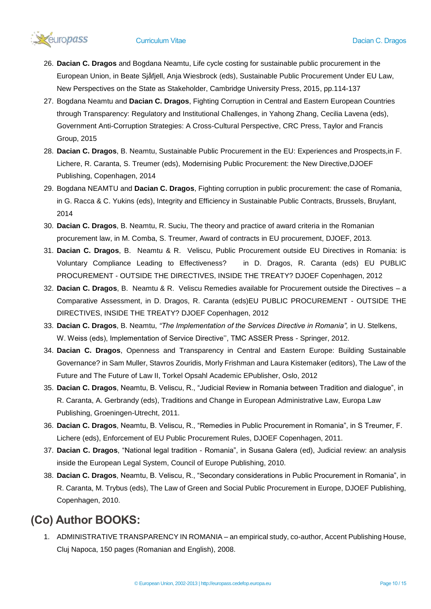

- 26. **Dacian C. Dragos** and Bogdana Neamtu, Life cycle costing for sustainable public procurement in the European Union, in Beate Sjåfjell, Anja Wiesbrock (eds), Sustainable Public Procurement Under EU Law, New Perspectives on the State as Stakeholder, Cambridge University Press, 2015, pp.114-137
- 27. Bogdana Neamtu and **Dacian C. Dragos**, Fighting Corruption in Central and Eastern European Countries through Transparency: Regulatory and Institutional Challenges, in Yahong Zhang, Cecilia Lavena (eds), Government Anti-Corruption Strategies: A Cross-Cultural Perspective, CRC Press, Taylor and Francis Group, 2015
- 28. **Dacian C. Dragos**, B. Neamtu, Sustainable Public Procurement in the EU: Experiences and Prospects,in F. Lichere, R. Caranta, S. Treumer (eds), Modernising Public Procurement: the New Directive,DJOEF Publishing, Copenhagen, 2014
- 29. Bogdana NEAMTU and **Dacian C. Dragos**, Fighting corruption in public procurement: the case of Romania, in G. Racca & C. Yukins (eds), Integrity and Efficiency in Sustainable Public Contracts, Brussels, Bruylant, 2014
- 30. **Dacian C. Dragos**, B. Neamtu, R. Suciu, The theory and practice of award criteria in the Romanian procurement law, in M. Comba, S. Treumer, Award of contracts in EU procurement, DJOEF, 2013.
- 31. **Dacian C. Dragos**, B. Neamtu & R. Veliscu, Public Procurement outside EU Directives in Romania: is Voluntary Compliance Leading to Effectiveness? in D. Dragos, R. Caranta (eds) EU PUBLIC PROCUREMENT - OUTSIDE THE DIRECTIVES, INSIDE THE TREATY? DJOEF Copenhagen, 2012
- 32. **Dacian C. Dragos**, B. Neamtu & R. Veliscu Remedies available for Procurement outside the Directives a Comparative Assessment, in D. Dragos, R. Caranta (eds)EU PUBLIC PROCUREMENT - OUTSIDE THE DIRECTIVES, INSIDE THE TREATY? DJOEF Copenhagen, 2012
- 33. **Dacian C. Dragos**, B. Neamtu, *"The Implementation of the Services Directive in Romania",* in U. Stelkens, W. Weiss (eds), Implementation of Service Directive'', TMC ASSER Press - Springer, 2012.
- 34. **Dacian C. Dragos**, Openness and Transparency in Central and Eastern Europe: Building Sustainable Governance? in Sam Muller, Stavros Zouridis, Morly Frishman and Laura Kistemaker (editors), The Law of the Future and The Future of Law II, Torkel Opsahl Academic EPublisher, Oslo, 2012
- 35. **Dacian C. Dragos**, Neamtu, B. Veliscu, R., "Judicial Review in Romania between Tradition and dialogue", in R. Caranta, A. Gerbrandy (eds), Traditions and Change in European Administrative Law, Europa Law Publishing, Groeningen-Utrecht, 2011.
- 36. **Dacian C. Dragos**, Neamtu, B. Veliscu, R., "Remedies in Public Procurement in Romania", in S Treumer, F. Lichere (eds), Enforcement of EU Public Procurement Rules, DJOEF Copenhagen, 2011.
- 37. **Dacian C. Dragos**, "National legal tradition Romania", in Susana Galera (ed), Judicial review: an analysis inside the European Legal System, Council of Europe Publishing, 2010.
- 38. **Dacian C. Dragos**, Neamtu, B. Veliscu, R., "Secondary considerations in Public Procurement in Romania", in R. Caranta, M. Trybus (eds), The Law of Green and Social Public Procurement in Europe, DJOEF Publishing, Copenhagen, 2010.

# **(Co) Author BOOKS:**

1. ADMINISTRATIVE TRANSPARENCY IN ROMANIA – an empirical study, co-author, Accent Publishing House, Cluj Napoca, 150 pages (Romanian and English), 2008.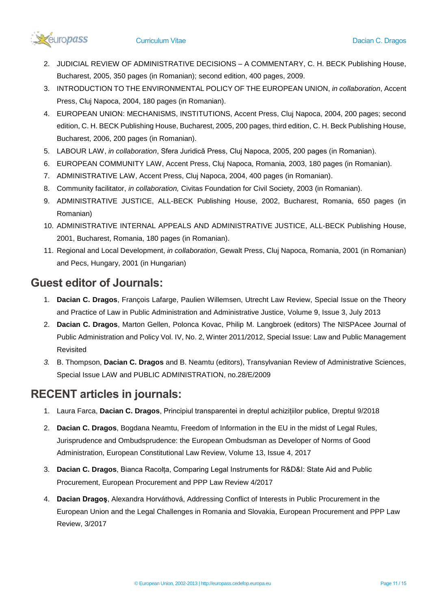

- 2. JUDICIAL REVIEW OF ADMINISTRATIVE DECISIONS A COMMENTARY, C. H. BECK Publishing House, Bucharest, 2005, 350 pages (in Romanian); second edition, 400 pages, 2009.
- 3. INTRODUCTION TO THE ENVIRONMENTAL POLICY OF THE EUROPEAN UNION, *in collaboration*, Accent Press, Cluj Napoca, 2004, 180 pages (in Romanian).
- 4. EUROPEAN UNION: MECHANISMS, INSTITUTIONS, Accent Press, Cluj Napoca, 2004, 200 pages; second edition, C. H. BECK Publishing House, Bucharest, 2005, 200 pages, third edition, C. H. Beck Publishing House, Bucharest, 2006, 200 pages (in Romanian).
- 5. LABOUR LAW, *in collaboration*, Sfera Juridică Press, Cluj Napoca, 2005, 200 pages (in Romanian).
- 6. EUROPEAN COMMUNITY LAW, Accent Press, Cluj Napoca, Romania, 2003, 180 pages (in Romanian).
- 7. ADMINISTRATIVE LAW, Accent Press, Cluj Napoca, 2004, 400 pages (in Romanian).
- 8. Community facilitator, *in collaboration,* Civitas Foundation for Civil Society, 2003 (in Romanian).
- 9. ADMINISTRATIVE JUSTICE, ALL-BECK Publishing House, 2002, Bucharest, Romania, 650 pages (in Romanian)
- 10. ADMINISTRATIVE INTERNAL APPEALS AND ADMINISTRATIVE JUSTICE, ALL-BECK Publishing House, 2001, Bucharest, Romania, 180 pages (in Romanian).
- 11. Regional and Local Development, *in collaboration*, Gewalt Press, Cluj Napoca, Romania, 2001 (in Romanian) and Pecs, Hungary, 2001 (in Hungarian)

## **Guest editor of Journals:**

- 1. **Dacian C. Dragos**, François Lafarge, Paulien Willemsen, Utrecht Law Review, Special Issue on the Theory and Practice of Law in Public Administration and Administrative Justice, Volume 9, Issue 3, July 2013
- 2. **Dacian C. Dragos**, Marton Gellen, Polonca Kovac, Philip M. Langbroek (editors) The NISPAcee Journal of Public Administration and Policy Vol. IV, No. 2, Winter 2011/2012, Special Issue: Law and Public Management Revisited
- *3.* B. Thompson, **Dacian C. Dragos** and B. Neamtu (editors), Transylvanian Review of Administrative Sciences, Special Issue LAW and PUBLIC ADMINISTRATION, no.28/E/2009

## **RECENT articles in journals:**

- 1. Laura Farca, **Dacian C. Dragos**, Principiul transparentei in dreptul achizițiilor publice, Dreptul 9/2018
- 2. **Dacian C. Dragos**, Bogdana Neamtu, Freedom of Information in the EU in the midst of Legal Rules, Jurisprudence and Ombudsprudence: the European Ombudsman as Developer of Norms of Good Administration, European Constitutional Law Review, Volume 13, Issue 4, 2017
- 3. **Dacian C. Dragos**, Bianca Racolța, Comparing Legal Instruments for R&D&I: State Aid and Public Procurement, European Procurement and PPP Law Review 4/2017
- 4. **Dacian Dragoş**, Alexandra Horváthová, Addressing Conflict of Interests in Public Procurement in the European Union and the Legal Challenges in Romania and Slovakia, European Procurement and PPP Law Review, 3/2017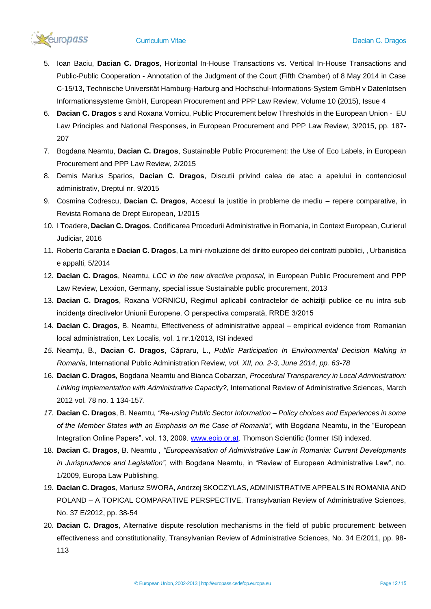

- 5. Ioan Baciu, **Dacian C. Dragos**, Horizontal In-House Transactions vs. Vertical In-House Transactions and Public-Public Cooperation - Annotation of the Judgment of the Court (Fifth Chamber) of 8 May 2014 in Case C-15/13, Technische Universität Hamburg-Harburg and Hochschul-Informations-System GmbH v Datenlotsen Informationssysteme GmbH, European Procurement and PPP Law Review, Volume 10 (2015), Issue 4
- 6. **Dacian C. Dragos** s and Roxana Vornicu, Public Procurement below Thresholds in the European Union EU Law Principles and National Responses, in European Procurement and PPP Law Review, 3/2015, pp. 187- 207
- 7. Bogdana Neamtu, **Dacian C. Dragos**, Sustainable Public Procurement: the Use of Eco Labels, in European Procurement and PPP Law Review, 2/2015
- 8. Demis Marius Sparios, **Dacian C. Dragos**, Discutii privind calea de atac a apelului in contenciosul administrativ, Dreptul nr. 9/2015
- 9. Cosmina Codrescu, **Dacian C. Dragos**, Accesul la justitie in probleme de mediu repere comparative, in Revista Romana de Drept European, 1/2015
- 10. I Toadere, **Dacian C. Dragos**, Codificarea Procedurii Administrative in Romania, in Context European, Curierul Judiciar, 2016
- 11. Roberto Caranta e **Dacian C. Dragos**, La mini-rivoluzione del diritto europeo dei contratti pubblici, , Urbanistica e appalti, 5/2014
- 12. **Dacian C. Dragos**, Neamtu, *LCC in the new directive proposal*, in European Public Procurement and PPP Law Review, Lexxion, Germany, special issue Sustainable public procurement, 2013
- 13. **Dacian C. Dragos**, Roxana VORNICU, Regimul aplicabil contractelor de achiziţii publice ce nu intra sub incidenta directivelor Uniunii Europene. O perspectiva comparată, RRDE 3/2015
- 14. **Dacian C. Dragos**, B. Neamtu, Effectiveness of administrative appeal empirical evidence from Romanian local administration, Lex Localis, vol. 1 nr.1/2013, ISI indexed
- *15.* Neamțu, B., **Dacian C. Dragos**, Căpraru, L., *Public Participation In Environmental Decision Making in Romania,* International Public Administration Review*, vol. XII, no. 2-3, June 2014, pp. 63-78*
- 16. **Dacian C. Dragos***,* Bogdana Neamtu and Bianca Cobarzan*, Procedural Transparency in Local Administration: Linking Implementation with Administrative Capacity?,* International Review of Administrative Sciences, March 2012 vol. 78 no. 1 134-157.
- *17.* **Dacian C. Dragos**, B. Neamtu*, "Re-using Public Sector Information – Policy choices and Experiences in some of the Member States with an Emphasis on the Case of Romania",* with Bogdana Neamtu, in the "European Integration Online Papers", vol. 13, 2009. [www.eoip.or.at.](http://www.eoip.or.at/) Thomson Scientific (former ISI) indexed.
- 18. **Dacian C. Dragos**, B. Neamtu *, "Europeanisation of Administrative Law in Romania: Current Developments in Jurisprudence and Legislation",* with Bogdana Neamtu, in "Review of European Administrative Law", no. 1/2009, Europa Law Publishing.
- 19. **Dacian C. Dragos**, Mariusz SWORA, Andrzej SKOCZYLAS, ADMINISTRATIVE APPEALS IN ROMANIA AND POLAND – A TOPICAL COMPARATIVE PERSPECTIVE, Transylvanian Review of Administrative Sciences, No. 37 E/2012, pp. 38-54
- 20. **Dacian C. Dragos**, Alternative dispute resolution mechanisms in the field of public procurement: between effectiveness and constitutionality, Transylvanian Review of Administrative Sciences, No. 34 E/2011, pp. 98- 113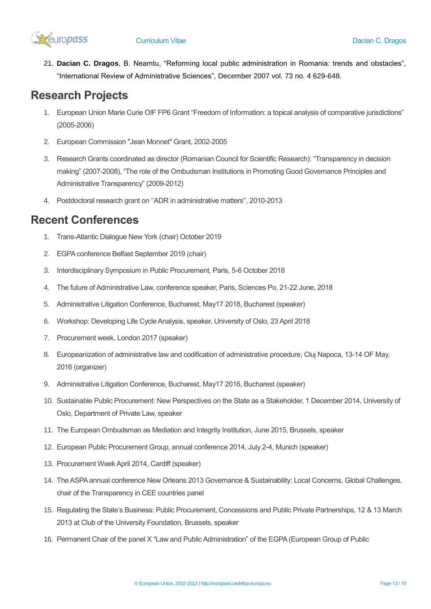

21. **Dacian C. Dragos**, B. Neamtu, "Reforming local public administration in Romania: trends and obstacles", "International Review of Administrative Sciences", December 2007 vol. 73 no. 4 629-648.

# **Research Projects**

- 1. European Union Marie Curie OIF FP6 Grant "Freedom of Information: a topical analysis of comparative jurisdictions" (2005-2006)
- 2. European Commission "Jean Monnet" Grant, 2002-2005
- 3. Research Grants coordinated as director (Romanian Council for Scientific Research): "Transparency in decision making" (2007-2008), "The role of the Ombudsman Institutions in Promoting Good Governance Principles and Administrative Transparency" (2009-2012)
- 4. Postdoctoral research grant on ''ADR in administrative matters'', 2010-2013

## **Recent Conferences**

- 1. Trans-Atlantic Dialogue New York (chair) October 2019
- 2. EGPA conference Belfast September 2019 (chair)
- 3. Interdisciplinary Symposium in Public Procurement, Paris, 5-6 October 2018
- 4. The future of Administrative Law, conference speaker, Paris, Sciences Po, 21-22 June, 2018
- 5. Administrative Litigation Conference, Bucharest, May17 2018, Bucharest (speaker)
- 6. Workshop: Developing Life Cycle Analysis, speaker, University of Oslo, 23 April 2018
- 7. Procurement week, London 2017 (speaker)
- 8. Europeanization of administrative law and codification of administrative procedure, Cluj Napoca, 13-14 OF May, 2016 (organizer)
- 9. Administrative Litigation Conference, Bucharest, May17 2016, Bucharest (speaker)
- 10. Sustainable Public Procurement: New Perspectives on the State as a Stakeholder, 1 December 2014, University of Oslo, Department of Private Law, speaker
- 11. The European Ombudsman as Mediation and Integrity Institution, June 2015, Brussels, speaker
- 12. European Public Procurement Group, annual conference 2014, July 2-4, Munich (speaker)
- 13. Procurement Week April 2014, Cardiff (speaker)
- 14. The ASPA annual conference New Orleans 2013 Governance & Sustainability: Local Concerns, Global Challenges, chair of the Transparency in CEE countries panel
- 15. Regulating the State's Business: Public Procurement, Concessions and Public Private Partnerships, 12 & 13 March 2013 at Club of the University Foundation, Brussels, speaker
- 16. Permanent Chair of the panel X "Law and Public Administration" of the EGPA (European Group of Public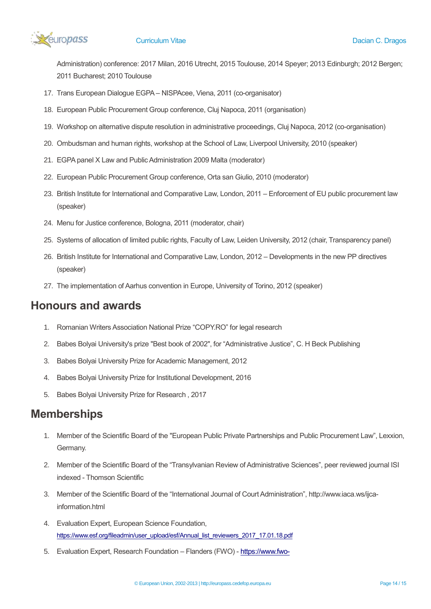

Administration) conference: 2017 Milan, 2016 Utrecht, 2015 Toulouse, 2014 Speyer; 2013 Edinburgh; 2012 Bergen; 2011 Bucharest; 2010 Toulouse

- 17. Trans European Dialogue EGPA NISPAcee, Viena, 2011 (co-organisator)
- 18. European Public Procurement Group conference, Cluj Napoca, 2011 (organisation)
- 19. Workshop on alternative dispute resolution in administrative proceedings, Cluj Napoca, 2012 (co-organisation)
- 20. Ombudsman and human rights, workshop at the School of Law, Liverpool University, 2010 (speaker)
- 21. EGPA panel X Law and Public Administration 2009 Malta (moderator)
- 22. European Public Procurement Group conference, Orta san Giulio, 2010 (moderator)
- 23. British Institute for International and Comparative Law, London, 2011 Enforcement of EU public procurement law (speaker)
- 24. Menu for Justice conference, Bologna, 2011 (moderator, chair)
- 25. Systems of allocation of limited public rights, Faculty of Law, Leiden University, 2012 (chair, Transparency panel)
- 26. British Institute for International and Comparative Law, London, 2012 Developments in the new PP directives (speaker)
- 27. The implementation of Aarhus convention in Europe, University of Torino, 2012 (speaker)

### **Honours and awards**

- 1. Romanian Writers Association National Prize "COPY.RO" for legal research
- 2. Babes Bolyai University's prize "Best book of 2002", for "Administrative Justice", C. H Beck Publishing
- 3. Babes Bolyai University Prize for Academic Management, 2012
- 4. Babes Bolyai University Prize for Institutional Development, 2016
- 5. Babes Bolyai University Prize for Research , 2017

## **Memberships**

- 1. Member of the Scientific Board of the "European Public Private Partnerships and Public Procurement Law", Lexxion, Germany.
- 2. Member of the Scientific Board of the "Transylvanian Review of Administrative Sciences", peer reviewed journal ISI indexed - Thomson Scientific
- 3. Member of the Scientific Board of the "International Journal of Court Administration", http://www.iaca.ws/ijcainformation.html
- 4. Evaluation Expert, European Science Foundation, [https://www.esf.org/fileadmin/user\\_upload/esf/Annual\\_list\\_reviewers\\_2017\\_17.01.18.pdf](https://www.esf.org/fileadmin/user_upload/esf/Annual_list_reviewers_2017_17.01.18.pdf)
- 5. Evaluation Expert, Research Foundation Flanders (FWO) [https://www.fwo-](https://www.fwo-eloket.be/FWO.ELoket.WebUI/Default.aspx)